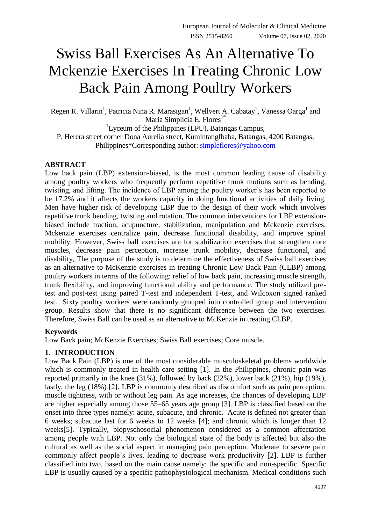# Swiss Ball Exercises As An Alternative To Mckenzie Exercises In Treating Chronic Low Back Pain Among Poultry Workers

Regen R. Villarin<sup>1</sup>, Patricia Nina R. Marasigan<sup>1</sup>, Wellvert A. Cabatay<sup>1</sup>, Vanessa Oarga<sup>1</sup> and Maria Simplicia E. Flores<sup>1\*</sup>

<sup>1</sup>Lyceum of the Philippines (LPU), Batangas Campus, P. Herera street corner Dona Aurelia street, KumintangIbaba, Batangas, 4200 Batangas, Philippines\*Corresponding author: [simpleflores@yahoo.com](mailto:simpleflores@yahoo.com)

### **ABSTRACT**

Low back pain (LBP) extension-biased, is the most common leading cause of disability among poultry workers who frequently perform repetitive trunk motions such as bending, twisting, and lifting. The incidence of LBP among the poultry worker's has been reported to be 17.2% and it affects the workers capacity in doing functional activities of daily living. Men have higher risk of developing LBP due to the design of their work which involves repetitive trunk bending, twisting and rotation. The common interventions for LBP extensionbiased include traction, acupuncture, stabilization, manipulation and Mckenzie exercises. Mckenzie exercises centralize pain, decrease functional disability, and improve spinal mobility. However, Swiss ball exercises are for stabilization exercises that strengthen core muscles, decrease pain perception, increase trunk mobility, decrease functional, and disability, The purpose of the study is to determine the effectiveness of Swiss ball exercises as an alternative to McKenzie exercises in treating Chronic Low Back Pain (CLBP) among poultry workers in terms of the following: relief of low back pain, increasing muscle strength, trunk flexibility, and improving functional ability and performance. The study utilized pretest and post-test using paired T-test and independent T-test, and Wilcoxon signed ranked test. Sixty poultry workers were randomly grouped into controlled group and intervention group. Results show that there is no significant difference between the two exercises. Therefore, Swiss Ball can be used as an alternative to McKenzie in treating CLBP.

### **Keywords**

Low Back pain; McKenzie Exercises; Swiss Ball exercises; Core muscle.

### **1. INTRODUCTION**

Low Back Pain (LBP) is one of the most considerable musculoskeletal problems worldwide which is commonly treated in health care setting [1]. In the Philippines, chronic pain was reported primarily in the knee (31%), followed by back (22%), lower back (21%), hip (19%), lastly, the leg (18%) [2]. LBP is commonly described as discomfort such as pain perception, muscle tightness, with or without leg pain. As age increases, the chances of developing LBP are higher especially among those 55–65 years age group [3]. LBP is classified based on the onset into three types namely: acute, subacute, and chronic. Acute is defined not greater than 6 weeks; subacute last for 6 weeks to 12 weeks [4]; and chronic which is longer than 12 weeks[5]. Typically, biopyschosocial phenomenon considered as a common affectation among people with LBP. Not only the biological state of the body is affected but also the cultural as well as the social aspect in managing pain perception. Moderate to severe pain commonly affect people's lives, leading to decrease work productivity [2]. LBP is further classified into two, based on the main cause namely: the specific and non-specific. Specific LBP is usually caused by a specific pathophysiological mechanism. Medical conditions such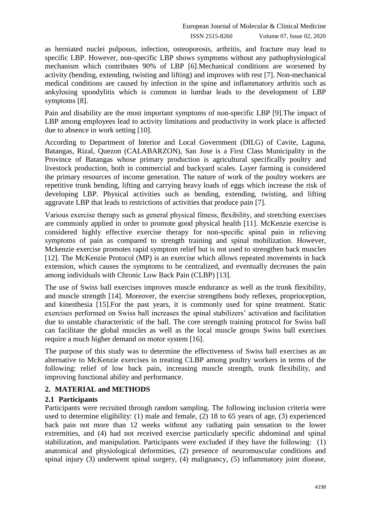as herniated nuclei pulposus, infection, osteoporosis, arthritis, and fracture may lead to specific LBP. However, non-specific LBP shows symptoms without any pathophysiological mechanism which contributes 90% of LBP [6].Mechanical conditions are worsened by activity (bending, extending, twisting and lifting) and improves with rest [7]. Non-mechanical medical conditions are caused by infection in the spine and inflammatory arthritis such as ankylosing spondylitis which is common in lumbar leads to the development of LBP symptoms [8].

Pain and disability are the most important symptoms of non-specific LBP [9].The impact of LBP among employees lead to activity limitations and productivity in work place is affected due to absence in work setting [10].

According to Department of Interior and Local Government (DILG) of Cavite, Laguna, Batangas, Rizal, Quezon (CALABARZON), San Jose is a First Class Municipality in the Province of Batangas whose primary production is agricultural specifically poultry and livestock production, both in commercial and backyard scales. Layer farming is considered the primary resources of income generation. The nature of work of the poultry workers are repetitive trunk bending, lifting and carrying heavy loads of eggs which increase the risk of developing LBP. Physical activities such as bending, extending, twisting, and lifting aggravate LBP that leads to restrictions of activities that produce pain [7].

Various exercise therapy such as general physical fitness, flexibility, and stretching exercises are commonly applied in order to promote good physical health [11]. McKenzie exercise is considered highly effective exercise therapy for non-specific spinal pain in relieving symptoms of pain as compared to strength training and spinal mobilization. However, Mckenzie exercise promotes rapid symptom relief but is not used to strengthen back muscles [12]. The McKenzie Protocol (MP) is an exercise which allows repeated movements in back extension, which causes the symptoms to be centralized, and eventually decreases the pain among individuals with Chronic Low Back Pain (CLBP) [13].

The use of Swiss ball exercises improves muscle endurance as well as the trunk flexibility, and muscle strength [14]. Moreover, the exercise strengthens body reflexes, proprioception, and kinesthesia [15].For the past years, it is commonly used for spine treatment. Static exercises performed on Swiss ball increases the spinal stabilizers' activation and facilitation due to unstable characteristic of the ball. The core strength training protocol for Swiss ball can facilitate the global muscles as well as the local muscle groups Swiss ball exercises require a much higher demand on motor system [16].

The purpose of this study was to determine the effectiveness of Swiss ball exercises as an alternative to McKenzie exercises in treating CLBP among poultry workers in terms of the following: relief of low back pain, increasing muscle strength, trunk flexibility, and improving functional ability and performance.

### **2. MATERIAL and METHODS**

### **2.1 Participants**

Participants were recruited through random sampling. The following inclusion criteria were used to determine eligibility: (1) male and female, (2) 18 to 65 years of age, (3) experienced back pain not more than 12 weeks without any radiating pain sensation to the lower extremities, and (4) had not received exercise particularly specific abdominal and spinal stabilization, and manipulation. Participants were excluded if they have the following: (1) anatomical and physiological deformities, (2) presence of neuromuscular conditions and spinal injury (3) underwent spinal surgery, (4) malignancy, (5) inflammatory joint disease,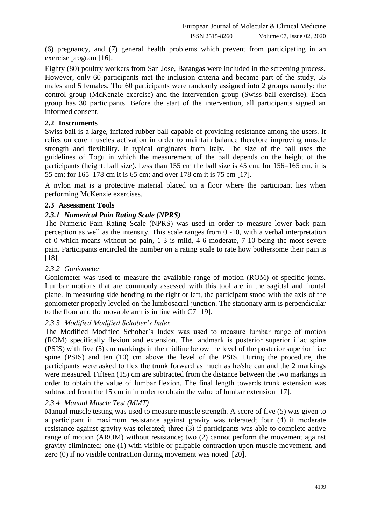(6) pregnancy, and (7) general health problems which prevent from participating in an exercise program [16].

Eighty (80) poultry workers from San Jose, Batangas were included in the screening process. However, only 60 participants met the inclusion criteria and became part of the study, 55 males and 5 females. The 60 participants were randomly assigned into 2 groups namely: the control group (McKenzie exercise) and the intervention group (Swiss ball exercise). Each group has 30 participants. Before the start of the intervention, all participants signed an informed consent.

#### **2.2 Instruments**

Swiss ball is a large, inflated rubber ball capable of providing resistance among the users. It relies on core muscles activation in order to maintain balance therefore improving muscle strength and flexibility. It typical originates from Italy. The size of the ball uses the guidelines of Togu in which the measurement of the ball depends on the height of the participants (height: ball size). Less than 155 cm the ball size is 45 cm; for 156–165 cm, it is 55 cm; for 165–178 cm it is 65 cm; and over 178 cm it is 75 cm [17].

A nylon mat is a protective material placed on a floor where the participant lies when performing McKenzie exercises.

#### **2.3 Assessment Tools**

#### *2.3.1 Numerical Pain Rating Scale (NPRS)*

The Numeric Pain Rating Scale (NPRS) was used in order to measure lower back pain perception as well as the intensity. This scale ranges from 0 -10, with a verbal interpretation of 0 which means without no pain, 1-3 is mild, 4-6 moderate, 7-10 being the most severe pain. Participants encircled the number on a rating scale to rate how bothersome their pain is [18].

#### *2.3.2 Goniometer*

Goniometer was used to measure the available range of motion (ROM) of specific joints. Lumbar motions that are commonly assessed with this tool are in the sagittal and frontal plane. In measuring side bending to the right or left, the participant stood with the axis of the goniometer properly leveled on the lumbosacral junction. The stationary arm is perpendicular to the floor and the movable arm is in line with C7 [19].

#### *2.3.3 Modified Modified Schober's Index*

The Modified Modified Schober's Index was used to measure lumbar range of motion (ROM) specifically flexion and extension. The landmark is posterior superior iliac spine (PSIS) with five (5) cm markings in the midline below the level of the posterior superior iliac spine (PSIS) and ten (10) cm above the level of the PSIS. During the procedure, the participants were asked to flex the trunk forward as much as he/she can and the 2 markings were measured. Fifteen (15) cm are subtracted from the distance between the two markings in order to obtain the value of lumbar flexion. The final length towards trunk extension was subtracted from the 15 cm in in order to obtain the value of lumbar extension [17].

#### *2.3.4 Manual Muscle Test (MMT)*

Manual muscle testing was used to measure muscle strength. A score of five (5) was given to a participant if maximum resistance against gravity was tolerated; four (4) if moderate resistance against gravity was tolerated; three (3) if participants was able to complete active range of motion (AROM) without resistance; two (2) cannot perform the movement against gravity eliminated; one (1) with visible or palpable contraction upon muscle movement, and zero (0) if no visible contraction during movement was noted [20].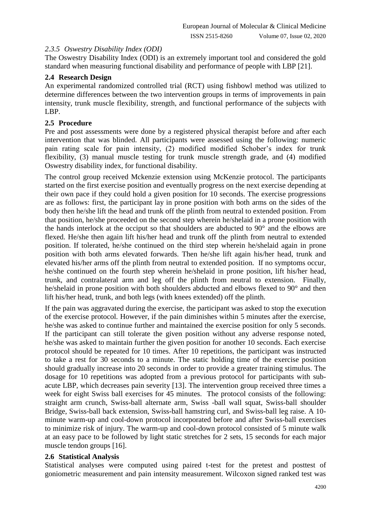#### *2.3.5 Oswestry Disability Index (ODI)*

The Oswestry Disability Index (ODI) is an extremely important tool and considered the gold standard when measuring functional disability and performance of people with LBP [21].

### **2.4 Research Design**

An experimental randomized controlled trial (RCT) using fishbowl method was utilized to determine differences between the two intervention groups in terms of improvements in pain intensity, trunk muscle flexibility, strength, and functional performance of the subjects with LBP.

### **2.5 Procedure**

Pre and post assessments were done by a registered physical therapist before and after each intervention that was blinded. All participants were assessed using the following: numeric pain rating scale for pain intensity, (2) modified modified Schober's index for trunk flexibility, (3) manual muscle testing for trunk muscle strength grade, and (4) modified Oswestry disability index, for functional disability.

The control group received Mckenzie extension using McKenzie protocol. The participants started on the first exercise position and eventually progress on the next exercise depending at their own pace if they could hold a given position for 10 seconds. The exercise progressions are as follows: first, the participant lay in prone position with both arms on the sides of the body then he/she lift the head and trunk off the plinth from neutral to extended position. From that position, he/she proceeded on the second step wherein he/shelaid in a prone position with the hands interlock at the occiput so that shoulders are abducted to 90° and the elbows are flexed. He/she then again lift his/her head and trunk off the plinth from neutral to extended position. If tolerated, he/she continued on the third step wherein he/shelaid again in prone position with both arms elevated forwards. Then he/she lift again his/her head, trunk and elevated his/her arms off the plinth from neutral to extended position. If no symptoms occur, he/she continued on the fourth step wherein he/shelaid in prone position, lift his/her head, trunk, and contralateral arm and leg off the plinth from neutral to extension. Finally, he/shelaid in prone position with both shoulders abducted and elbows flexed to 90° and then lift his/her head, trunk, and both legs (with knees extended) off the plinth.

If the pain was aggravated during the exercise, the participant was asked to stop the execution of the exercise protocol. However, if the pain diminishes within 5 minutes after the exercise, he/she was asked to continue further and maintained the exercise position for only 5 seconds. If the participant can still tolerate the given position without any adverse response noted, he/she was asked to maintain further the given position for another 10 seconds. Each exercise protocol should be repeated for 10 times. After 10 repetitions, the participant was instructed to take a rest for 30 seconds to a minute. The static holding time of the exercise position should gradually increase into 20 seconds in order to provide a greater training stimulus. The dosage for 10 repetitions was adopted from a previous protocol for participants with subacute LBP, which decreases pain severity [13]. The intervention group received three times a week for eight Swiss ball exercises for 45 minutes. The protocol consists of the following: straight arm crunch, Swiss-ball alternate arm, Swiss -ball wall squat, Swiss-ball shoulder Bridge, Swiss-ball back extension, Swiss-ball hamstring curl, and Swiss-ball leg raise. A 10 minute warm-up and cool-down protocol incorporated before and after Swiss-ball exercises to minimize risk of injury. The warm-up and cool-down protocol consisted of 5 minute walk at an easy pace to be followed by light static stretches for 2 sets, 15 seconds for each major muscle tendon groups [16].

#### **2.6 Statistical Analysis**

Statistical analyses were computed using paired t-test for the pretest and posttest of goniometric measurement and pain intensity measurement. Wilcoxon signed ranked test was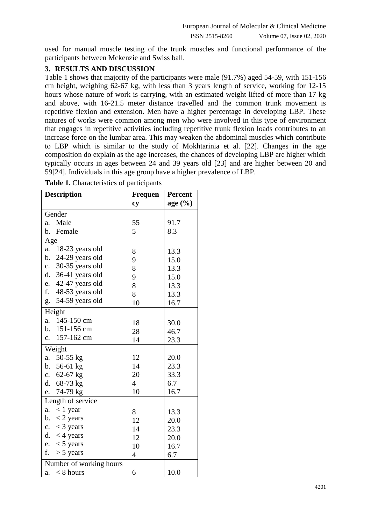used for manual muscle testing of the trunk muscles and functional performance of the participants between Mckenzie and Swiss ball.

### **3. RESULTS AND DISCUSSION**

Table 1 shows that majority of the participants were male (91.7%) aged 54-59, with 151-156 cm height, weighing 62-67 kg, with less than 3 years length of service, working for 12-15 hours whose nature of work is carrying, with an estimated weight lifted of more than 17 kg and above, with 16-21.5 meter distance travelled and the common trunk movement is repetitive flexion and extension. Men have a higher percentage in developing LBP. These natures of works were common among men who were involved in this type of environment that engages in repetitive activities including repetitive trunk flexion loads contributes to an increase force on the lumbar area. This may weaken the abdominal muscles which contribute to LBP which is similar to the study of Mokhtarinia et al. [22]. Changes in the age composition do explain as the age increases, the chances of developing LBP are higher which typically occurs in ages between 24 and 39 years old [23] and are higher between 20 and 59[24]. Individuals in this age group have a higher prevalence of LBP.

| <b>Description</b>                | <b>Frequen</b> | <b>Percent</b> |
|-----------------------------------|----------------|----------------|
|                                   | cy             | age(%)         |
| Gender                            |                |                |
| Male<br>a.                        | 55             | 91.7           |
| Female<br>b.                      | 5              | 8.3            |
| Age                               |                |                |
| a.<br>18-23 years old             | 8              | 13.3           |
| 24-29 years old<br>b.             | 9              | 15.0           |
| 30-35 years old<br>$\mathbf{c}$ . | 8              | 13.3           |
| 36-41 years old<br>d.             | 9              | 15.0           |
| 42-47 years old<br>e.             | 8              | 13.3           |
| f.<br>48-53 years old             | 8              | 13.3           |
| 54-59 years old<br>g.             | 10             | 16.7           |
| Height                            |                |                |
| 145-150 cm<br>a.                  | 18             | 30.0           |
| b. 151-156 cm                     | 28             | 46.7           |
| 157-162 cm<br>c.                  | 14             | 23.3           |
| Weight                            |                |                |
| 50-55 $kg$<br>a.                  | 12             | 20.0           |
| b. $56-61$ kg                     | 14             | 23.3           |
| c. $62-67$ kg                     | 20             | 33.3           |
| d.<br>$68-73$ kg                  | $\overline{4}$ | 6.7            |
| 74-79 kg<br>e.                    | 10             | 16.7           |
| Length of service                 |                |                |
| $< 1$ year<br>a.                  | 8              | 13.3           |
| $<$ 2 years<br>b.                 | 12             | 20.0           |
| c. $<$ 3 years                    | 14             | 23.3           |
| d.<br>$<$ 4 years                 | 12             | 20.0           |
| e. $<$ 5 years                    | 10             | 16.7           |
| f.<br>$> 5$ years                 | $\overline{4}$ | 6.7            |
| Number of working hours           |                |                |
| $< 8$ hours<br>a.                 | 6              | 10.0           |

**Table 1.** Characteristics of participants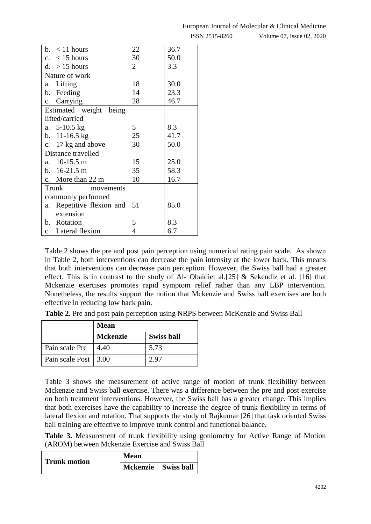ISSN 2515-8260 Volume 07, Issue 02, 2020

| b. $\lt$ 11 hours            | 22 | 36.7 |
|------------------------------|----|------|
| c. $\lt$ 15 hours            | 30 | 50.0 |
| d. $>15$ hours               | 2  | 3.3  |
| Nature of work               |    |      |
| Lifting<br>a.                | 18 | 30.0 |
| b. Feeding                   | 14 | 23.3 |
| c. Carrying                  | 28 | 46.7 |
| Estimated weight<br>being    |    |      |
| lifted/carried               |    |      |
| a. $5-10.5$ kg               | 5  | 8.3  |
| b. $11-16.5$ kg              | 25 | 41.7 |
| c. 17 kg and above           | 30 | 50.0 |
| Distance travelled           |    |      |
| a. 10-15.5 m                 | 15 | 25.0 |
| b. $16-21.5$ m               | 35 | 58.3 |
| c. More than $22 \text{ m}$  | 10 | 16.7 |
| Trunk<br>movements           |    |      |
| commonly performed           |    |      |
| Repetitive flexion and<br>a. | 51 | 85.0 |
| extension                    |    |      |
| b. Rotation                  | 5  | 8.3  |
| c. Lateral flexion           | 4  | 6.7  |

Table 2 shows the pre and post pain perception using numerical rating pain scale. As shown in Table 2, both interventions can decrease the pain intensity at the lower back. This means that both interventions can decrease pain perception. However, the Swiss ball had a greater effect. This is in contrast to the study of Al- Obaidiet al. [25] & Sekendiz et al. [16] that Mckenzie exercises promotes rapid symptom relief rather than any LBP intervention. Nonetheless, the results support the notion that Mckenzie and Swiss ball exercises are both effective in reducing low back pain.

**Table 2.** Pre and post pain perception using NRPS between McKenzie and Swiss Ball

|                        | <b>Mean</b>     |                   |
|------------------------|-----------------|-------------------|
|                        | <b>Mckenzie</b> | <b>Swiss ball</b> |
| Pain scale Pre         | 4.40            | 5.73              |
| Pain scale Post   3.00 |                 | 2.97              |

Table 3 shows the measurement of active range of motion of trunk flexibility between Mckenzie and Swiss ball exercise. There was a difference between the pre and post exercise on both treatment interventions. However, the Swiss ball has a greater change. This implies that both exercises have the capability to increase the degree of trunk flexibility in terms of lateral flexion and rotation. That supports the study of Rajkumar [26] that task oriented Swiss ball training are effective to improve trunk control and functional balance.

**Table 3.** Measurement of trunk flexibility using goniometry for Active Range of Motion (AROM) between Mckenzie Exercise and Swiss Ball

| Trunk motion | Mean                  |  |
|--------------|-----------------------|--|
|              | Mckenzie   Swiss ball |  |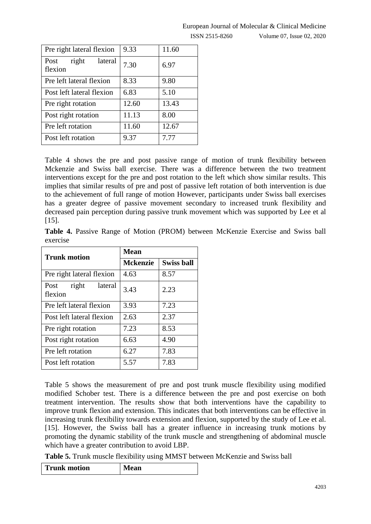## European Journal of Molecular & Clinical Medicine

ISSN 2515-8260 Volume 07, Issue 02, 2020

| Pre right lateral flexion           | 9.33  | 11.60 |
|-------------------------------------|-------|-------|
| right<br>lateral<br>Post<br>flexion | 7.30  | 6.97  |
| Pre left lateral flexion            | 8.33  | 9.80  |
| Post left lateral flexion           | 6.83  | 5.10  |
| Pre right rotation                  | 12.60 | 13.43 |
| Post right rotation                 | 11.13 | 8.00  |
| Pre left rotation                   | 11.60 | 12.67 |
| Post left rotation                  | 9.37  | 7.77  |
|                                     |       |       |

Table 4 shows the pre and post passive range of motion of trunk flexibility between Mckenzie and Swiss ball exercise. There was a difference between the two treatment interventions except for the pre and post rotation to the left which show similar results. This implies that similar results of pre and post of passive left rotation of both intervention is due to the achievement of full range of motion However, participants under Swiss ball exercises has a greater degree of passive movement secondary to increased trunk flexibility and decreased pain perception during passive trunk movement which was supported by Lee et al [15].

**Table 4.** Passive Range of Motion (PROM) between McKenzie Exercise and Swiss ball exercise

| <b>Trunk motion</b>                 | <b>Mean</b>     |                   |
|-------------------------------------|-----------------|-------------------|
|                                     | <b>Mckenzie</b> | <b>Swiss ball</b> |
| Pre right lateral flexion           | 4.63            | 8.57              |
| right<br>lateral<br>Post<br>flexion | 3.43            | 2.23              |
| Pre left lateral flexion            | 3.93            | 7.23              |
| Post left lateral flexion           | 2.63            | 2.37              |
| Pre right rotation                  | 7.23            | 8.53              |
| Post right rotation                 | 6.63            | 4.90              |
| Pre left rotation                   | 6.27            | 7.83              |
| Post left rotation                  | 5.57            | 7.83              |

Table 5 shows the measurement of pre and post trunk muscle flexibility using modified modified Schober test. There is a difference between the pre and post exercise on both treatment intervention. The results show that both interventions have the capability to improve trunk flexion and extension. This indicates that both interventions can be effective in increasing trunk flexibility towards extension and flexion, supported by the study of Lee et al. [15]. However, the Swiss ball has a greater influence in increasing trunk motions by promoting the dynamic stability of the trunk muscle and strengthening of abdominal muscle which have a greater contribution to avoid LBP.

**Table 5.** Trunk muscle flexibility using MMST between McKenzie and Swiss ball

| <b>Trunk motion</b> | <b>Mean</b> |
|---------------------|-------------|
|---------------------|-------------|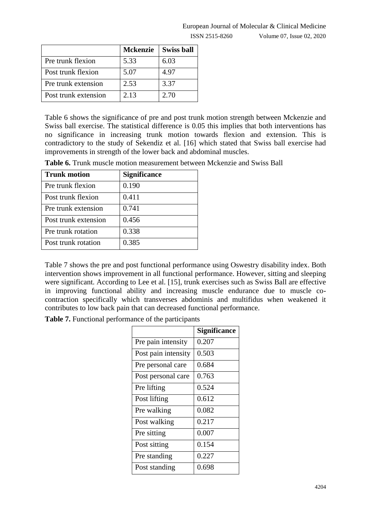|                      | Mckenzie | <b>Swiss ball</b> |
|----------------------|----------|-------------------|
| Pre trunk flexion    | 5.33     | 6.03              |
| Post trunk flexion   | 5.07     | 4.97              |
| Pre trunk extension  | 2.53     | 3.37              |
| Post trunk extension | 2.13     | 2.70              |

Table 6 shows the significance of pre and post trunk motion strength between Mckenzie and Swiss ball exercise. The statistical difference is 0.05 this implies that both interventions has no significance in increasing trunk motion towards flexion and extension. This is contradictory to the study of Sekendiz et al. [16] which stated that Swiss ball exercise had improvements in strength of the lower back and abdominal muscles.

**Table 6.** Trunk muscle motion measurement between Mckenzie and Swiss Ball

| <b>Trunk motion</b>  | <b>Significance</b> |
|----------------------|---------------------|
| Pre trunk flexion    | 0.190               |
| Post trunk flexion   | 0.411               |
| Pre trunk extension  | 0.741               |
| Post trunk extension | 0.456               |
| Pre trunk rotation   | 0.338               |
| Post trunk rotation  | 0.385               |

Table 7 shows the pre and post functional performance using Oswestry disability index. Both intervention shows improvement in all functional performance. However, sitting and sleeping were significant. According to Lee et al. [15], trunk exercises such as Swiss Ball are effective in improving functional ability and increasing muscle endurance due to muscle cocontraction specifically which transverses abdominis and multifidus when weakened it contributes to low back pain that can decreased functional performance.

**Table 7.** Functional performance of the participants

|                     | <b>Significance</b> |
|---------------------|---------------------|
| Pre pain intensity  | 0.207               |
| Post pain intensity | 0.503               |
| Pre personal care   | 0.684               |
| Post personal care  | 0.763               |
| Pre lifting         | 0.524               |
| Post lifting        | 0.612               |
| Pre walking         | 0.082               |
| Post walking        | 0.217               |
| Pre sitting         | 0.007               |
| Post sitting        | 0.154               |
| Pre standing        | 0.227               |
| Post standing       | 0.698               |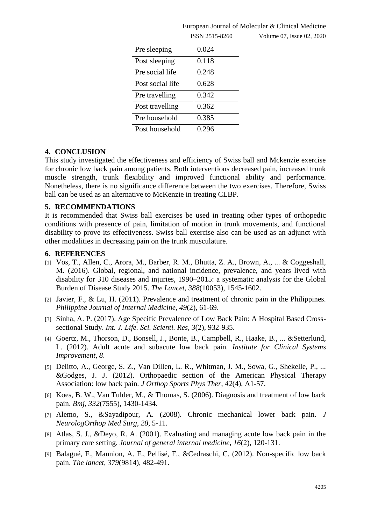| Pre sleeping     | 0.024 |
|------------------|-------|
| Post sleeping    | 0.118 |
| Pre social life  | 0.248 |
| Post social life | 0.628 |
| Pre travelling   | 0.342 |
| Post travelling  | 0.362 |
| Pre household    | 0.385 |
| Post household   | 0.296 |

#### European Journal of Molecular & Clinical Medicine

ISSN 2515-8260 Volume 07, Issue 02, 2020

#### **4. CONCLUSION**

This study investigated the effectiveness and efficiency of Swiss ball and Mckenzie exercise for chronic low back pain among patients. Both interventions decreased pain, increased trunk muscle strength, trunk flexibility and improved functional ability and performance. Nonetheless, there is no significance difference between the two exercises. Therefore, Swiss ball can be used as an alternative to McKenzie in treating CLBP.

#### **5. RECOMMENDATIONS**

It is recommended that Swiss ball exercises be used in treating other types of orthopedic conditions with presence of pain, limitation of motion in trunk movements, and functional disability to prove its effectiveness. Swiss ball exercise also can be used as an adjunct with other modalities in decreasing pain on the trunk musculature.

#### **6. REFERENCES**

- [1] Vos, T., Allen, C., Arora, M., Barber, R. M., Bhutta, Z. A., Brown, A., ... & Coggeshall, M. (2016). Global, regional, and national incidence, prevalence, and years lived with disability for 310 diseases and injuries, 1990–2015: a systematic analysis for the Global Burden of Disease Study 2015. *The Lancet*, *388*(10053), 1545-1602.
- [2] Javier, F., & Lu, H. (2011). Prevalence and treatment of chronic pain in the Philippines. *Philippine Journal of Internal Medicine*, *49*(2), 61-69.
- [3] Sinha, A. P. (2017). Age Specific Prevalence of Low Back Pain: A Hospital Based Crosssectional Study. *Int. J. Life. Sci. Scienti. Res*, *3*(2), 932-935.
- [4] Goertz, M., Thorson, D., Bonsell, J., Bonte, B., Campbell, R., Haake, B., ... &Setterlund, L. (2012). Adult acute and subacute low back pain. *Institute for Clinical Systems Improvement*, *8*.
- [5] Delitto, A., George, S. Z., Van Dillen, L. R., Whitman, J. M., Sowa, G., Shekelle, P., ... &Godges, J. J. (2012). Orthopaedic section of the American Physical Therapy Association: low back pain. *J Orthop Sports Phys Ther*, *42*(4), A1-57.
- [6] Koes, B. W., Van Tulder, M., & Thomas, S. (2006). Diagnosis and treatment of low back pain. *Bmj*, *332*(7555), 1430-1434.
- [7] Alemo, S., &Sayadipour, A. (2008). Chronic mechanical lower back pain. *J NeurologOrthop Med Surg*, *28*, 5-11.
- [8] Atlas, S. J., &Deyo, R. A. (2001). Evaluating and managing acute low back pain in the primary care setting. *Journal of general internal medicine*, *16*(2), 120-131.
- [9] Balagué, F., Mannion, A. F., Pellisé, F., &Cedraschi, C. (2012). Non-specific low back pain. *The lancet*, *379*(9814), 482-491.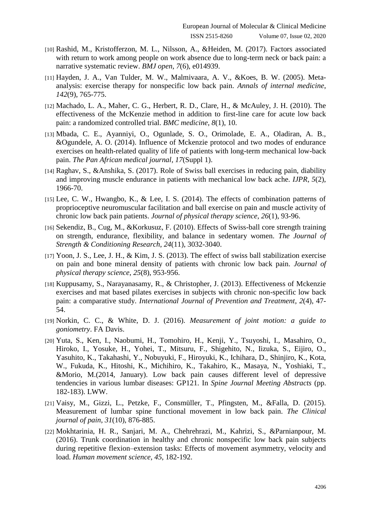- [10] Rashid, M., Kristofferzon, M. L., Nilsson, A., &Heiden, M. (2017). Factors associated with return to work among people on work absence due to long-term neck or back pain: a narrative systematic review. *BMJ open*, *7*(6), e014939.
- [11] Hayden, J. A., Van Tulder, M. W., Malmivaara, A. V., &Koes, B. W. (2005). Metaanalysis: exercise therapy for nonspecific low back pain. *Annals of internal medicine*, *142*(9), 765-775.
- [12] Machado, L. A., Maher, C. G., Herbert, R. D., Clare, H., & McAuley, J. H. (2010). The effectiveness of the McKenzie method in addition to first-line care for acute low back pain: a randomized controlled trial. *BMC medicine*, *8*(1), 10.
- [13] Mbada, C. E., Ayanniyi, O., Ogunlade, S. O., Orimolade, E. A., Oladiran, A. B., &Ogundele, A. O. (2014). Influence of Mckenzie protocol and two modes of endurance exercises on health-related quality of life of patients with long-term mechanical low-back pain. *The Pan African medical journal*, *17*(Suppl 1).
- [14] Raghav, S., &Anshika, S. (2017). Role of Swiss ball exercises in reducing pain, diability and improving muscle endurance in patients with mechanical low back ache. *IJPR*, *5*(2), 1966-70.
- [15] Lee, C. W., Hwangbo, K., & Lee, I. S. (2014). The effects of combination patterns of proprioceptive neuromuscular facilitation and ball exercise on pain and muscle activity of chronic low back pain patients. *Journal of physical therapy science*, *26*(1), 93-96.
- [16] Sekendiz, B., Cug, M., &Korkusuz, F. (2010). Effects of Swiss-ball core strength training on strength, endurance, flexibility, and balance in sedentary women. *The Journal of Strength & Conditioning Research*, *24*(11), 3032-3040.
- [17] Yoon, J. S., Lee, J. H., & Kim, J. S. (2013). The effect of swiss ball stabilization exercise on pain and bone mineral density of patients with chronic low back pain. *Journal of physical therapy science*, *25*(8), 953-956.
- [18] Kuppusamy, S., Narayanasamy, R., & Christopher, J. (2013). Effectiveness of Mckenzie exercises and mat based pilates exercises in subjects with chronic non-specific low back pain: a comparative study. *International Journal of Prevention and Treatment*, *2*(4), 47- 54.
- [19] Norkin, C. C., & White, D. J. (2016). *Measurement of joint motion: a guide to goniometry*. FA Davis.
- [20] Yuta, S., Ken, I., Naobumi, H., Tomohiro, H., Kenji, Y., Tsuyoshi, I., Masahiro, O., Hiroko, I., Yosuke, H., Yohei, T., Mitsuru, F., Shigehito, N., Iizuka, S., Eijiro, O., Yasuhito, K., Takahashi, Y., Nobuyuki, F., Hiroyuki, K., Ichihara, D., Shinjiro, K., Kota, W., Fukuda, K., Hitoshi, K., Michihiro, K., Takahiro, K., Masaya, N., Yoshiaki, T., &Morio, M.(2014, January). Low back pain causes different level of depressive tendencies in various lumbar diseases: GP121. In *Spine Journal Meeting Abstracts* (pp. 182-183). LWW.
- [21] Vaisy, M., Gizzi, L., Petzke, F., Consmüller, T., Pfingsten, M., &Falla, D. (2015). Measurement of lumbar spine functional movement in low back pain. *The Clinical journal of pain*, *31*(10), 876-885.
- [22] Mokhtarinia, H. R., Sanjari, M. A., Chehrehrazi, M., Kahrizi, S., &Parnianpour, M. (2016). Trunk coordination in healthy and chronic nonspecific low back pain subjects during repetitive flexion–extension tasks: Effects of movement asymmetry, velocity and load. *Human movement science*, *45*, 182-192.